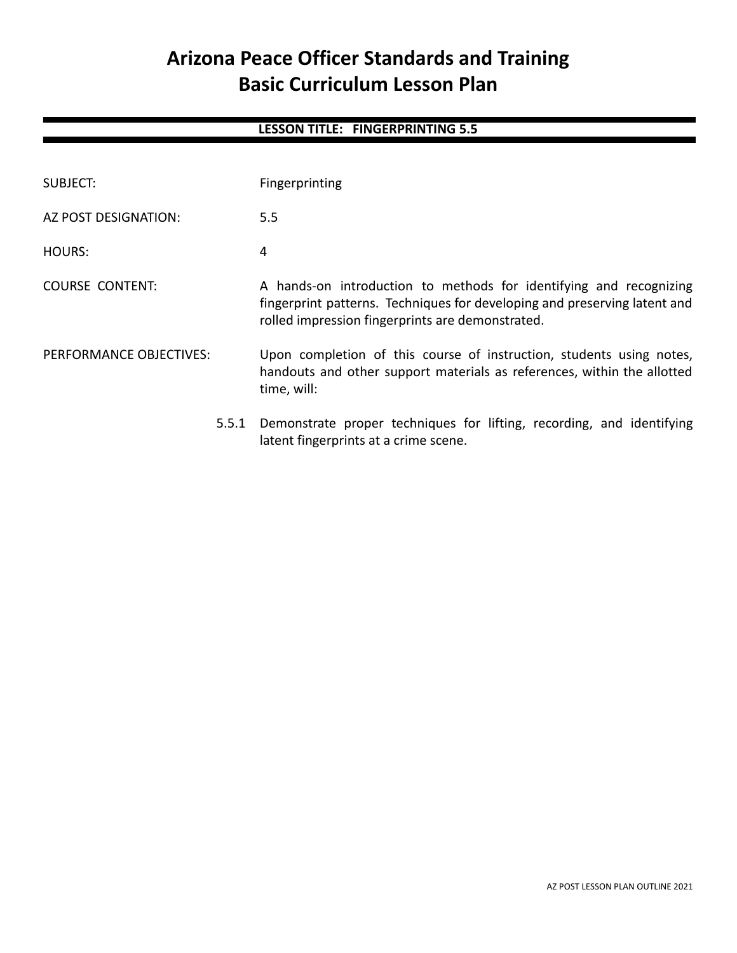# **Arizona Peace Officer Standards and Training Basic Curriculum Lesson Plan**

# **LESSON TITLE: FINGERPRINTING 5.5**

| SUBJECT:                | Fingerprinting                                                                                                                                                                                      |  |
|-------------------------|-----------------------------------------------------------------------------------------------------------------------------------------------------------------------------------------------------|--|
| AZ POST DESIGNATION:    | 5.5                                                                                                                                                                                                 |  |
| HOURS:                  | 4                                                                                                                                                                                                   |  |
| COURSE CONTENT:         | A hands-on introduction to methods for identifying and recognizing<br>fingerprint patterns. Techniques for developing and preserving latent and<br>rolled impression fingerprints are demonstrated. |  |
| PERFORMANCE OBJECTIVES: | Upon completion of this course of instruction, students using notes,<br>handouts and other support materials as references, within the allotted<br>time, will:                                      |  |
| 5.5.1                   | Demonstrate proper techniques for lifting, recording, and identifying<br>latent fingerprints at a crime scene.                                                                                      |  |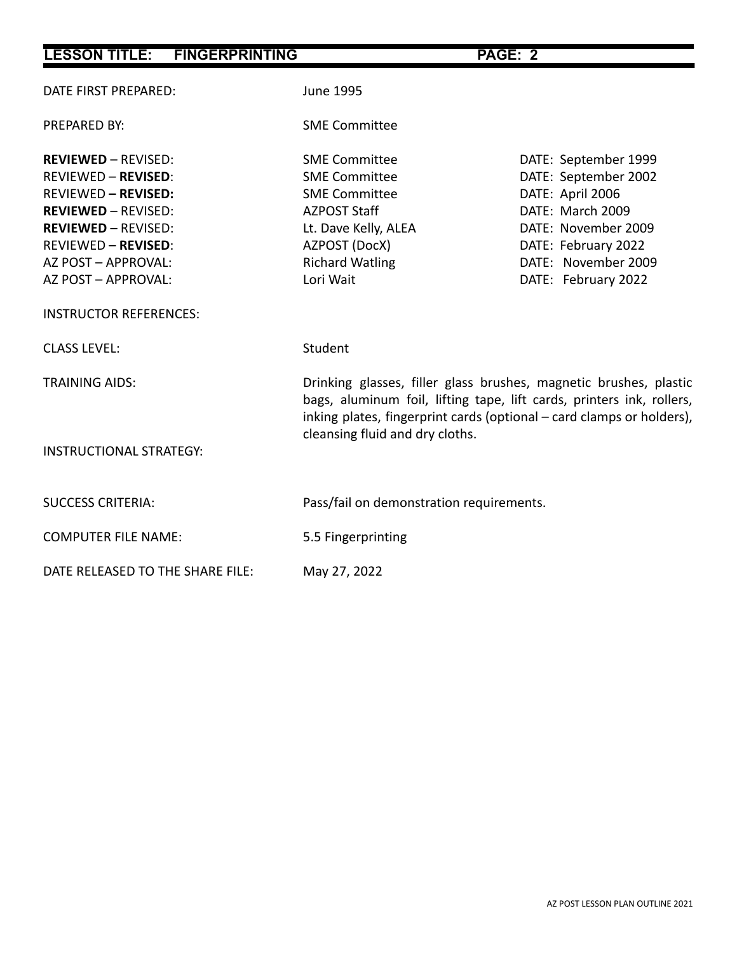| <b>LESSON TITLE: FINGERPRINTING</b>                                                                                                                                                                                            |                                                                                                                                                                                                                                                        | PAGE: 2                                                                                                                                                                          |  |
|--------------------------------------------------------------------------------------------------------------------------------------------------------------------------------------------------------------------------------|--------------------------------------------------------------------------------------------------------------------------------------------------------------------------------------------------------------------------------------------------------|----------------------------------------------------------------------------------------------------------------------------------------------------------------------------------|--|
| DATE FIRST PREPARED:                                                                                                                                                                                                           | <b>June 1995</b>                                                                                                                                                                                                                                       |                                                                                                                                                                                  |  |
| PREPARED BY:                                                                                                                                                                                                                   | <b>SME Committee</b>                                                                                                                                                                                                                                   |                                                                                                                                                                                  |  |
| <b>REVIEWED - REVISED:</b><br><b>REVIEWED - REVISED:</b><br><b>REVIEWED - REVISED:</b><br><b>REVIEWED - REVISED:</b><br><b>REVIEWED - REVISED:</b><br><b>REVIEWED - REVISED:</b><br>AZ POST - APPROVAL:<br>AZ POST - APPROVAL: | <b>SME Committee</b><br><b>SME Committee</b><br><b>SME Committee</b><br><b>AZPOST Staff</b><br>Lt. Dave Kelly, ALEA<br>AZPOST (DocX)<br><b>Richard Watling</b><br>Lori Wait                                                                            | DATE: September 1999<br>DATE: September 2002<br>DATE: April 2006<br>DATE: March 2009<br>DATE: November 2009<br>DATE: February 2022<br>DATE: November 2009<br>DATE: February 2022 |  |
| <b>INSTRUCTOR REFERENCES:</b>                                                                                                                                                                                                  |                                                                                                                                                                                                                                                        |                                                                                                                                                                                  |  |
| <b>CLASS LEVEL:</b>                                                                                                                                                                                                            | Student                                                                                                                                                                                                                                                |                                                                                                                                                                                  |  |
| <b>TRAINING AIDS:</b><br><b>INSTRUCTIONAL STRATEGY:</b>                                                                                                                                                                        | Drinking glasses, filler glass brushes, magnetic brushes, plastic<br>bags, aluminum foil, lifting tape, lift cards, printers ink, rollers,<br>inking plates, fingerprint cards (optional - card clamps or holders),<br>cleansing fluid and dry cloths. |                                                                                                                                                                                  |  |
| <b>SUCCESS CRITERIA:</b>                                                                                                                                                                                                       | Pass/fail on demonstration requirements.                                                                                                                                                                                                               |                                                                                                                                                                                  |  |
| <b>COMPUTER FILE NAME:</b>                                                                                                                                                                                                     | 5.5 Fingerprinting                                                                                                                                                                                                                                     |                                                                                                                                                                                  |  |
| DATE RELEASED TO THE SHARE FILE:                                                                                                                                                                                               | May 27, 2022                                                                                                                                                                                                                                           |                                                                                                                                                                                  |  |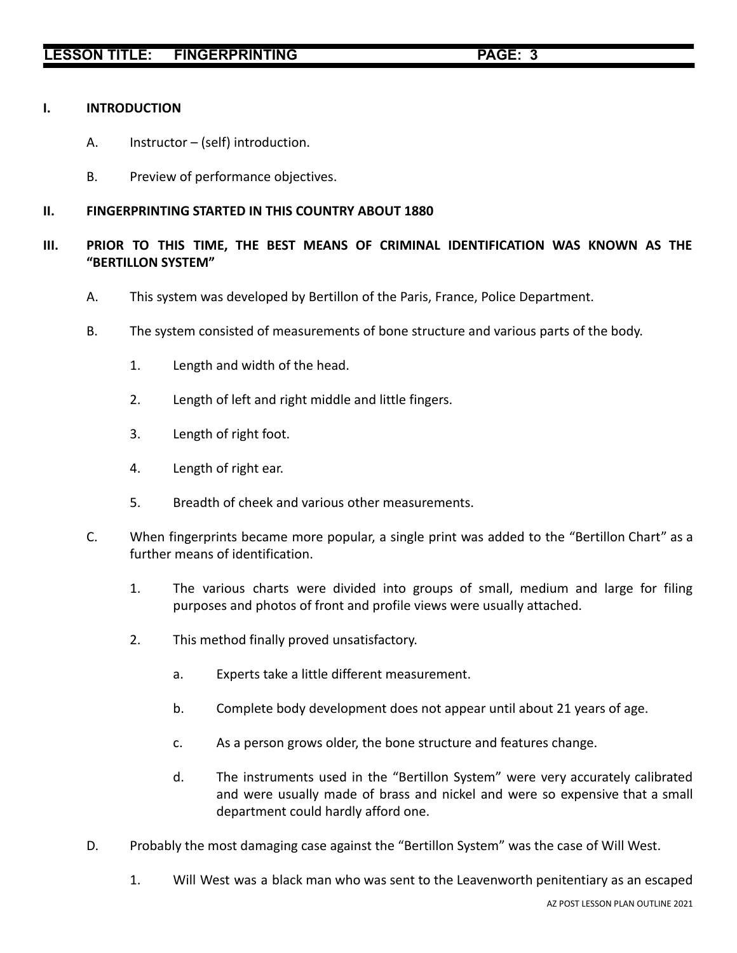# **LESSON TITLE: FINGERPRINTING PAGE: 3**

#### **I. INTRODUCTION**

- A. Instructor (self) introduction.
- B. Preview of performance objectives.

# **II. FINGERPRINTING STARTED IN THIS COUNTRY ABOUT 1880**

- **III. PRIOR TO THIS TIME, THE BEST MEANS OF CRIMINAL IDENTIFICATION WAS KNOWN AS THE "BERTILLON SYSTEM"**
	- A. This system was developed by Bertillon of the Paris, France, Police Department.
	- B. The system consisted of measurements of bone structure and various parts of the body.
		- 1. Length and width of the head.
		- 2. Length of left and right middle and little fingers.
		- 3. Length of right foot.
		- 4. Length of right ear.
		- 5. Breadth of cheek and various other measurements.
	- C. When fingerprints became more popular, a single print was added to the "Bertillon Chart" as a further means of identification.
		- 1. The various charts were divided into groups of small, medium and large for filing purposes and photos of front and profile views were usually attached.
		- 2. This method finally proved unsatisfactory.
			- a. Experts take a little different measurement.
			- b. Complete body development does not appear until about 21 years of age.
			- c. As a person grows older, the bone structure and features change.
			- d. The instruments used in the "Bertillon System" were very accurately calibrated and were usually made of brass and nickel and were so expensive that a small department could hardly afford one.
	- D. Probably the most damaging case against the "Bertillon System" was the case of Will West.
		- 1. Will West was a black man who was sent to the Leavenworth penitentiary as an escaped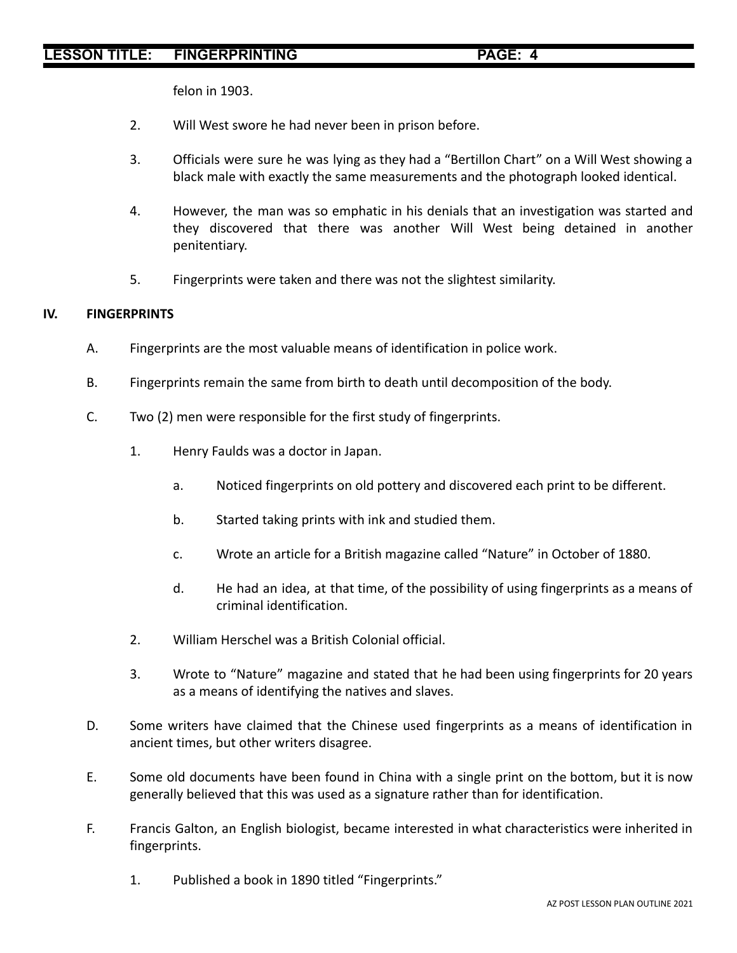# **LESSON TITLE: FINGERPRINTING PAGE: 4**

felon in 1903.

- 2. Will West swore he had never been in prison before.
- 3. Officials were sure he was lying as they had a "Bertillon Chart" on a Will West showing a black male with exactly the same measurements and the photograph looked identical.
- 4. However, the man was so emphatic in his denials that an investigation was started and they discovered that there was another Will West being detained in another penitentiary.
- 5. Fingerprints were taken and there was not the slightest similarity.

#### **IV. FINGERPRINTS**

- A. Fingerprints are the most valuable means of identification in police work.
- B. Fingerprints remain the same from birth to death until decomposition of the body.
- C. Two (2) men were responsible for the first study of fingerprints.
	- 1. Henry Faulds was a doctor in Japan.
		- a. Noticed fingerprints on old pottery and discovered each print to be different.
		- b. Started taking prints with ink and studied them.
		- c. Wrote an article for a British magazine called "Nature" in October of 1880.
		- d. He had an idea, at that time, of the possibility of using fingerprints as a means of criminal identification.
	- 2. William Herschel was a British Colonial official.
	- 3. Wrote to "Nature" magazine and stated that he had been using fingerprints for 20 years as a means of identifying the natives and slaves.
- D. Some writers have claimed that the Chinese used fingerprints as a means of identification in ancient times, but other writers disagree.
- E. Some old documents have been found in China with a single print on the bottom, but it is now generally believed that this was used as a signature rather than for identification.
- F. Francis Galton, an English biologist, became interested in what characteristics were inherited in fingerprints.
	- 1. Published a book in 1890 titled "Fingerprints."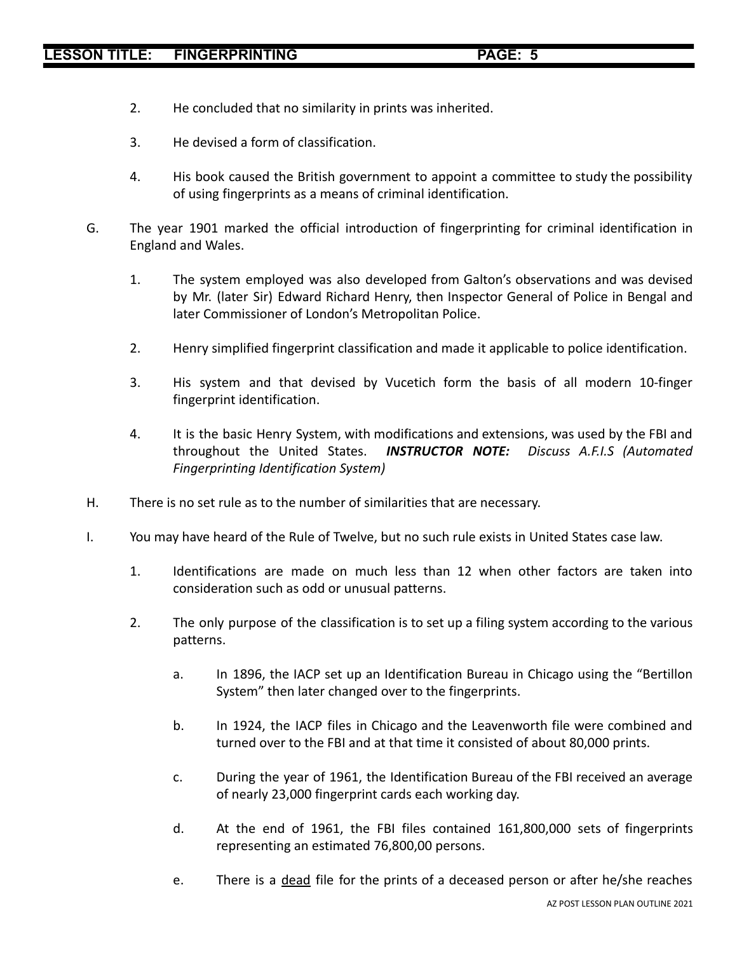- 2. He concluded that no similarity in prints was inherited.
- 3. He devised a form of classification.
- 4. His book caused the British government to appoint a committee to study the possibility of using fingerprints as a means of criminal identification.
- G. The year 1901 marked the official introduction of fingerprinting for criminal identification in England and Wales.
	- 1. The system employed was also developed from Galton's observations and was devised by Mr. (later Sir) Edward Richard Henry, then Inspector General of Police in Bengal and later Commissioner of London's Metropolitan Police.
	- 2. Henry simplified fingerprint classification and made it applicable to police identification.
	- 3. His system and that devised by Vucetich form the basis of all modern 10-finger fingerprint identification.
	- 4. It is the basic Henry System, with modifications and extensions, was used by the FBI and throughout the United States. *INSTRUCTOR NOTE: Discuss A.F.I.S (Automated Fingerprinting Identification System)*
- H. There is no set rule as to the number of similarities that are necessary.
- I. You may have heard of the Rule of Twelve, but no such rule exists in United States case law.
	- 1. Identifications are made on much less than 12 when other factors are taken into consideration such as odd or unusual patterns.
	- 2. The only purpose of the classification is to set up a filing system according to the various patterns.
		- a. In 1896, the IACP set up an Identification Bureau in Chicago using the "Bertillon System" then later changed over to the fingerprints.
		- b. In 1924, the IACP files in Chicago and the Leavenworth file were combined and turned over to the FBI and at that time it consisted of about 80,000 prints.
		- c. During the year of 1961, the Identification Bureau of the FBI received an average of nearly 23,000 fingerprint cards each working day.
		- d. At the end of 1961, the FBI files contained 161,800,000 sets of fingerprints representing an estimated 76,800,00 persons.
		- e. There is a dead file for the prints of a deceased person or after he/she reaches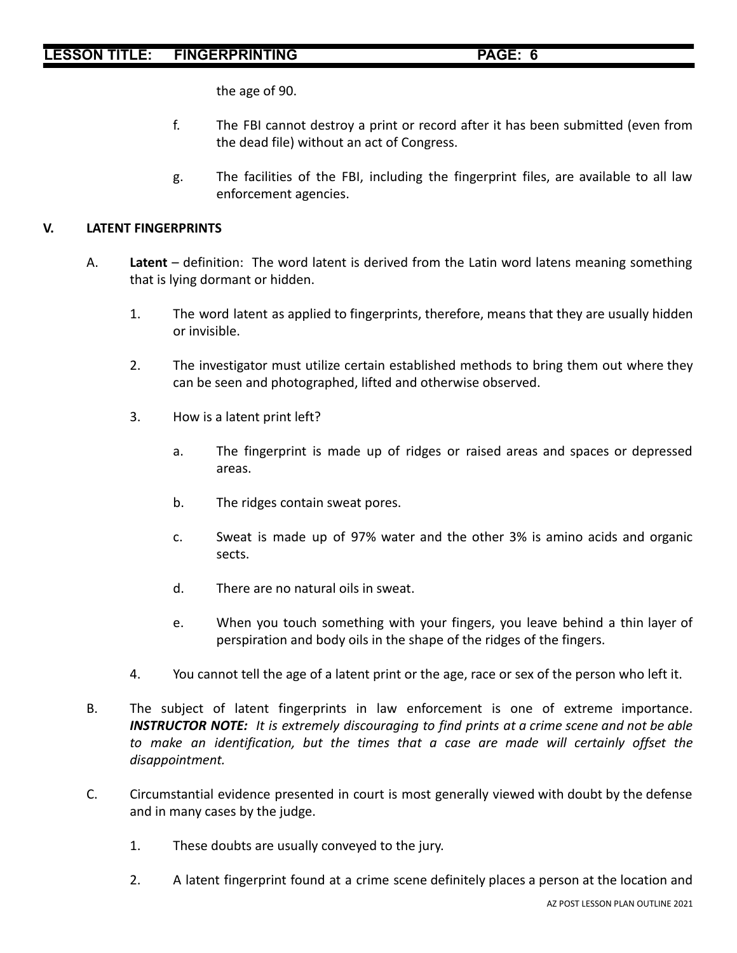the age of 90.

- f. The FBI cannot destroy a print or record after it has been submitted (even from the dead file) without an act of Congress.
- g. The facilities of the FBI, including the fingerprint files, are available to all law enforcement agencies.

#### **V. LATENT FINGERPRINTS**

- A. **Latent** definition: The word latent is derived from the Latin word latens meaning something that is lying dormant or hidden.
	- 1. The word latent as applied to fingerprints, therefore, means that they are usually hidden or invisible.
	- 2. The investigator must utilize certain established methods to bring them out where they can be seen and photographed, lifted and otherwise observed.
	- 3. How is a latent print left?
		- a. The fingerprint is made up of ridges or raised areas and spaces or depressed areas.
		- b. The ridges contain sweat pores.
		- c. Sweat is made up of 97% water and the other 3% is amino acids and organic sects.
		- d. There are no natural oils in sweat.
		- e. When you touch something with your fingers, you leave behind a thin layer of perspiration and body oils in the shape of the ridges of the fingers.
	- 4. You cannot tell the age of a latent print or the age, race or sex of the person who left it.
- B. The subject of latent fingerprints in law enforcement is one of extreme importance. *INSTRUCTOR NOTE: It is extremely discouraging to find prints at a crime scene and not be able to make an identification, but the times that a case are made will certainly offset the disappointment.*
- C. Circumstantial evidence presented in court is most generally viewed with doubt by the defense and in many cases by the judge.
	- 1. These doubts are usually conveyed to the jury.
	- 2. A latent fingerprint found at a crime scene definitely places a person at the location and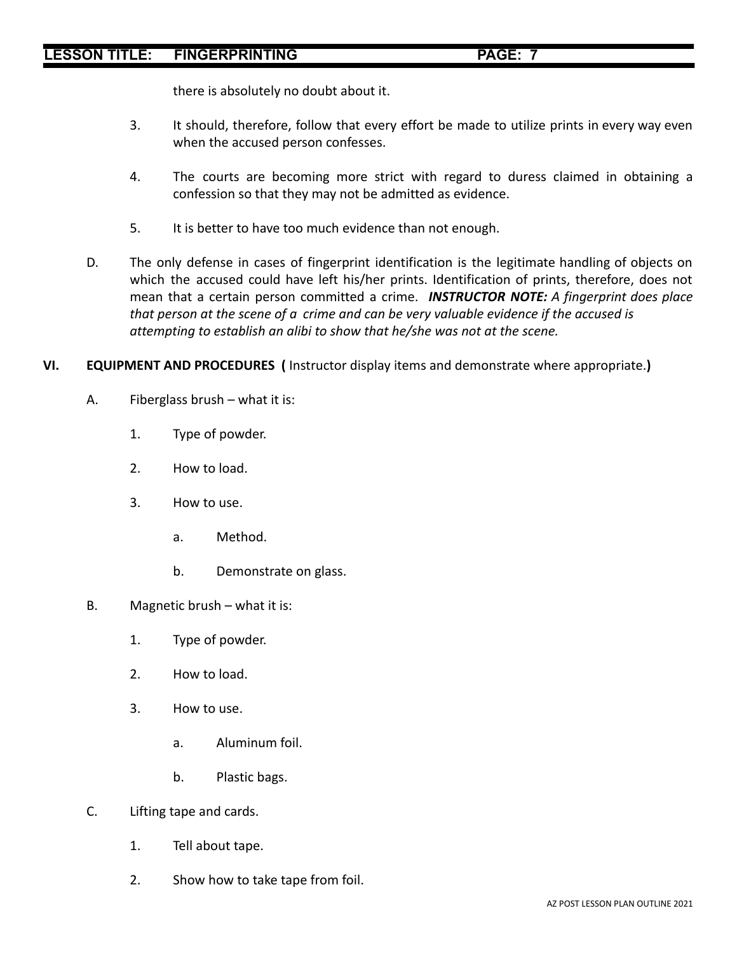# **LESSON TITLE: FINGERPRINTING PAGE: 7**

there is absolutely no doubt about it.

- 3. It should, therefore, follow that every effort be made to utilize prints in every way even when the accused person confesses.
- 4. The courts are becoming more strict with regard to duress claimed in obtaining a confession so that they may not be admitted as evidence.
- 5. It is better to have too much evidence than not enough.
- D. The only defense in cases of fingerprint identification is the legitimate handling of objects on which the accused could have left his/her prints. Identification of prints, therefore, does not mean that a certain person committed a crime. *INSTRUCTOR NOTE: A fingerprint does place that person at the scene of a crime and can be very valuable evidence if the accused is attempting to establish an alibi to show that he/she was not at the scene.*

# **VI. EQUIPMENT AND PROCEDURES (** Instructor display items and demonstrate where appropriate.**)**

- A. Fiberglass brush what it is:
	- 1. Type of powder.
	- 2. How to load.
	- 3. How to use.
		- a. Method.
		- b. Demonstrate on glass.
- B. Magnetic brush what it is:
	- 1. Type of powder.
	- 2. How to load.
	- 3. How to use.
		- a. Aluminum foil.
		- b. Plastic bags.
- C. Lifting tape and cards.
	- 1. Tell about tape.
	- 2. Show how to take tape from foil.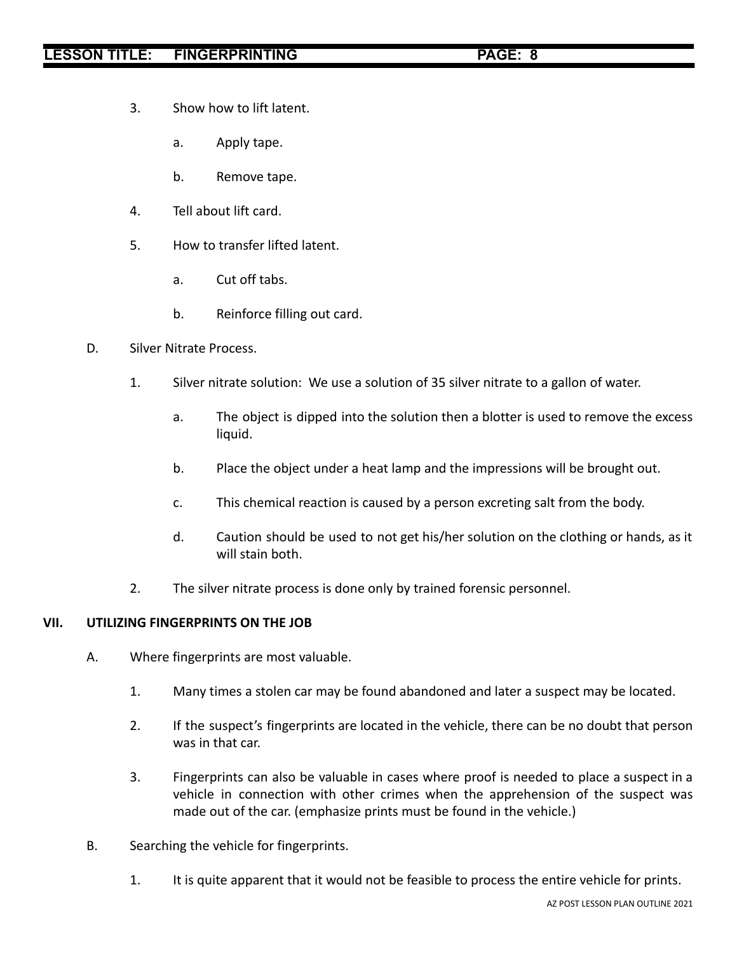- 3. Show how to lift latent.
	- a. Apply tape.
	- b. Remove tape.
- 4. Tell about lift card.
- 5. How to transfer lifted latent.
	- a. Cut off tabs.
	- b. Reinforce filling out card.
- D. Silver Nitrate Process.
	- 1. Silver nitrate solution: We use a solution of 35 silver nitrate to a gallon of water.
		- a. The object is dipped into the solution then a blotter is used to remove the excess liquid.
		- b. Place the object under a heat lamp and the impressions will be brought out.
		- c. This chemical reaction is caused by a person excreting salt from the body.
		- d. Caution should be used to not get his/her solution on the clothing or hands, as it will stain both.
	- 2. The silver nitrate process is done only by trained forensic personnel.

#### **VII. UTILIZING FINGERPRINTS ON THE JOB**

- A. Where fingerprints are most valuable.
	- 1. Many times a stolen car may be found abandoned and later a suspect may be located.
	- 2. If the suspect's fingerprints are located in the vehicle, there can be no doubt that person was in that car.
	- 3. Fingerprints can also be valuable in cases where proof is needed to place a suspect in a vehicle in connection with other crimes when the apprehension of the suspect was made out of the car. (emphasize prints must be found in the vehicle.)
- B. Searching the vehicle for fingerprints.
	- 1. It is quite apparent that it would not be feasible to process the entire vehicle for prints.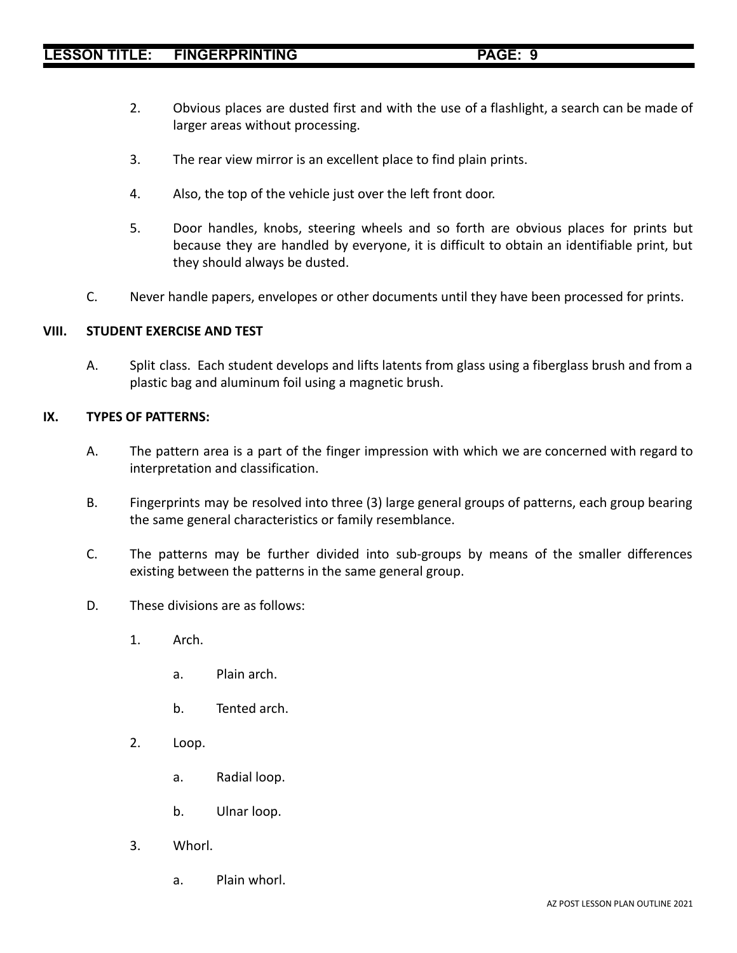- 2. Obvious places are dusted first and with the use of a flashlight, a search can be made of larger areas without processing.
- 3. The rear view mirror is an excellent place to find plain prints.
- 4. Also, the top of the vehicle just over the left front door.
- 5. Door handles, knobs, steering wheels and so forth are obvious places for prints but because they are handled by everyone, it is difficult to obtain an identifiable print, but they should always be dusted.
- C. Never handle papers, envelopes or other documents until they have been processed for prints.

#### **VIII. STUDENT EXERCISE AND TEST**

A. Split class. Each student develops and lifts latents from glass using a fiberglass brush and from a plastic bag and aluminum foil using a magnetic brush.

#### **IX. TYPES OF PATTERNS:**

- A. The pattern area is a part of the finger impression with which we are concerned with regard to interpretation and classification.
- B. Fingerprints may be resolved into three (3) large general groups of patterns, each group bearing the same general characteristics or family resemblance.
- C. The patterns may be further divided into sub-groups by means of the smaller differences existing between the patterns in the same general group.
- D. These divisions are as follows:
	- 1. Arch.
		- a. Plain arch.
		- b. Tented arch.
	- 2. Loop.
		- a. Radial loop.
		- b. Ulnar loop.
	- 3. Whorl.
		- a. Plain whorl.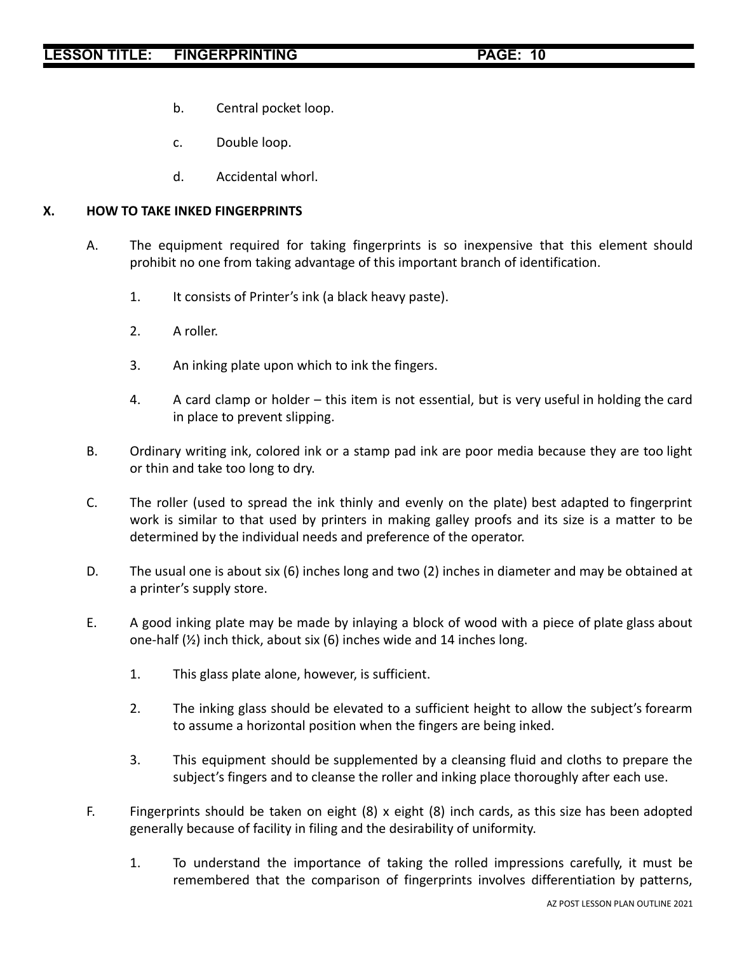- b. Central pocket loop.
- c. Double loop.
- d. Accidental whorl.

#### **X. HOW TO TAKE INKED FINGERPRINTS**

- A. The equipment required for taking fingerprints is so inexpensive that this element should prohibit no one from taking advantage of this important branch of identification.
	- 1. It consists of Printer's ink (a black heavy paste).
	- 2. A roller.
	- 3. An inking plate upon which to ink the fingers.
	- 4. A card clamp or holder this item is not essential, but is very useful in holding the card in place to prevent slipping.
- B. Ordinary writing ink, colored ink or a stamp pad ink are poor media because they are too light or thin and take too long to dry.
- C. The roller (used to spread the ink thinly and evenly on the plate) best adapted to fingerprint work is similar to that used by printers in making galley proofs and its size is a matter to be determined by the individual needs and preference of the operator.
- D. The usual one is about six (6) inches long and two (2) inches in diameter and may be obtained at a printer's supply store.
- E. A good inking plate may be made by inlaying a block of wood with a piece of plate glass about one-half (½) inch thick, about six (6) inches wide and 14 inches long.
	- 1. This glass plate alone, however, is sufficient.
	- 2. The inking glass should be elevated to a sufficient height to allow the subject's forearm to assume a horizontal position when the fingers are being inked.
	- 3. This equipment should be supplemented by a cleansing fluid and cloths to prepare the subject's fingers and to cleanse the roller and inking place thoroughly after each use.
- F. Fingerprints should be taken on eight (8) x eight (8) inch cards, as this size has been adopted generally because of facility in filing and the desirability of uniformity.
	- 1. To understand the importance of taking the rolled impressions carefully, it must be remembered that the comparison of fingerprints involves differentiation by patterns,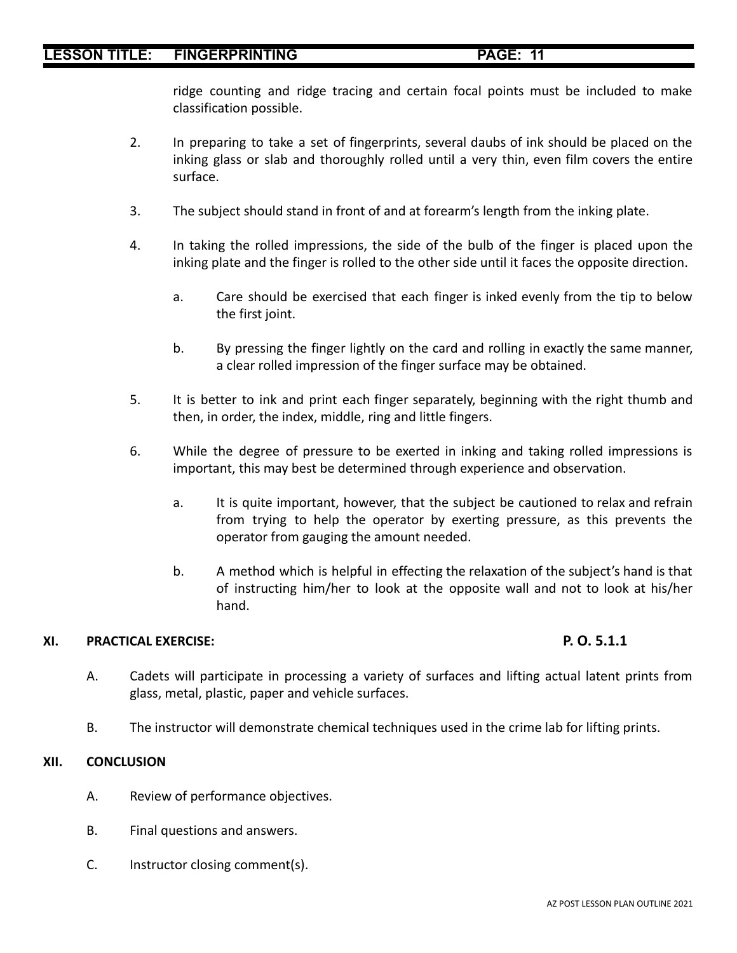ridge counting and ridge tracing and certain focal points must be included to make classification possible.

- 2. In preparing to take a set of fingerprints, several daubs of ink should be placed on the inking glass or slab and thoroughly rolled until a very thin, even film covers the entire surface.
- 3. The subject should stand in front of and at forearm's length from the inking plate.
- 4. In taking the rolled impressions, the side of the bulb of the finger is placed upon the inking plate and the finger is rolled to the other side until it faces the opposite direction.
	- a. Care should be exercised that each finger is inked evenly from the tip to below the first joint.
	- b. By pressing the finger lightly on the card and rolling in exactly the same manner, a clear rolled impression of the finger surface may be obtained.
- 5. It is better to ink and print each finger separately, beginning with the right thumb and then, in order, the index, middle, ring and little fingers.
- 6. While the degree of pressure to be exerted in inking and taking rolled impressions is important, this may best be determined through experience and observation.
	- a. It is quite important, however, that the subject be cautioned to relax and refrain from trying to help the operator by exerting pressure, as this prevents the operator from gauging the amount needed.
	- b. A method which is helpful in effecting the relaxation of the subject's hand is that of instructing him/her to look at the opposite wall and not to look at his/her hand.

# **XI. PRACTICAL EXERCISE: P. O. 5.1.1**

- A. Cadets will participate in processing a variety of surfaces and lifting actual latent prints from glass, metal, plastic, paper and vehicle surfaces.
- B. The instructor will demonstrate chemical techniques used in the crime lab for lifting prints.

# **XII. CONCLUSION**

- A. Review of performance objectives.
- B. Final questions and answers.
- C. Instructor closing comment(s).